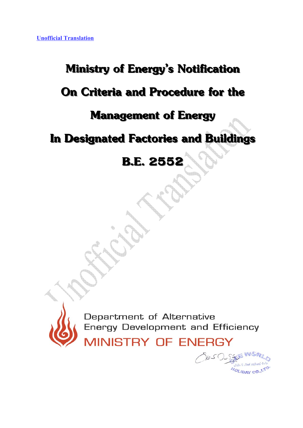# **Ministry of Energy s Notification ' On Criteria and Procedure for the Management of Energy In Designated Factories and Buildings B.E. 2552**



Department of Alternative **Energy Development and Efficiency** 

**MINISTRY OF ENERGY** 

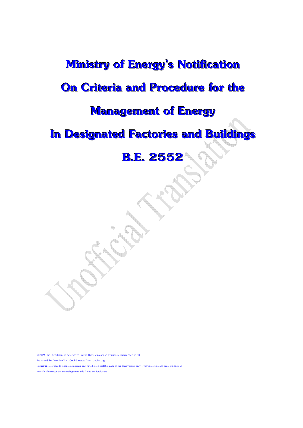### **Ministry of Energy s Notification '**

**On Criteria and Procedure for the**

### **Management of Energy**

**In Designated Factories and Buildings**

## **B.E. 2552**

© 2009, the Department of Alternative Energy Development and Efficiency (www.dede.go.th)

Translated by Direction Plan. Co.,ltd. (www.Directionplan.org)

**Remark:** Reference to Thai legislation in any jurisdiction shall be made to the Thai version only. This translation has been made so as

to establish correct understanding about this Act to the foreigners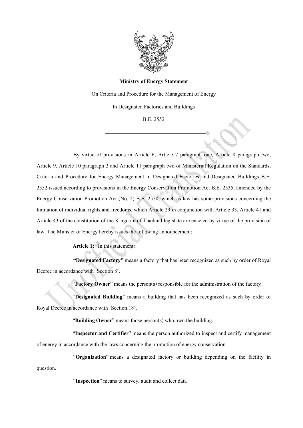

#### **Ministry of Energy Statement**

On Criteria and Procedure for the Management of Energy

In Designated Factories and Buildings

B.E. 2552

By virtue of provisions in Article 6, Article 7 paragraph one, Article 8 paragraph two, Article 9, Article 10 paragraph 2 and Article 11 paragraph two of Ministerial Regulation on the Standards, Criteria and Procedure for Energy Management in Designated Factories and Designated Buildings B.E. 2552 issued according to provisions in the Energy Conservation Promotion Act B.E. 2535, amended by the Energy Conservation Promotion Act (No. 2) B.E. 2550, which as law has some provisions concerning the limitation of individual rights and freedoms, which Article 29 in conjunction with Article 33, Article 41 and Article 43 of the constitution of the Kingdom of Thailand legislate are enacted by virtue of the provision of law. The Minister of Energy hereby issues the following announcement:

**Article 1:** In this statement:

**"Designated Factory"** means a factory that has been recognized as such by order of Royal Decree in accordance with 'Section 8'.

"**Factory Owner**" means the person(s) responsible for the administration of the factory

"**Designated Building**" means a building that has been recognized as such by order of Royal Decree in accordance with 'Section 18'.

"**Building Owner**" means those person(s) who own the building.

"**Inspector and Certifier**" means the person authorized to inspect and certify management of energy in accordance with the laws concerning the promotion of energy conservation.

"**Organization**" means a designated factory or building depending on the facility in question.

"**Inspection**" means to survey, audit and collect data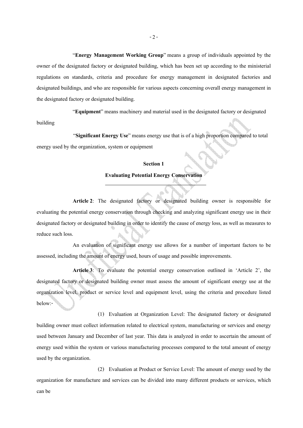"**Energy Management Working Group**" means a group of individuals appointed by the owner of the designated factory or designated building, which has been set up according to the ministerial regulations on standards, criteria and procedure for energy management in designated factories and designated buildings, and who are responsible for various aspects concerning overall energy management in the designated factory or designated building.

"**Equipment**" means machinery and material used in the designated factory or designated

building

"**Significant Energy Use**" means energy use that is of a high proportion compared to total

energy used by the organization, system or equipment

#### **Section 1**

#### **Evaluating Potential Energy Conservation**

**Article 2**: The designated factory or designated building owner is responsible for evaluating the potential energy conservation through checking and analyzing significant energy use in their designated factory or designated building in order to identify the cause of energy loss, as well as measures to reduce such loss.

An evaluation of significant energy use allows for a number of important factors to be assessed, including the amount of energy used, hours of usage and possible improvements.

**Article 3**: To evaluate the potential energy conservation outlined in 'Article 2', the designated factory or designated building owner must assess the amount of significant energy use at the organization level, product or service level and equipment level, using the criteria and procedure listed below:-

(1) Evaluation at Organization Level: The designated factory or designated building owner must collect information related to electrical system, manufacturing or services and energy used between January and December of last year. This data is analyzed in order to ascertain the amount of energy used within the system or various manufacturing processes compared to the total amount of energy used by the organization.

(2) Evaluation at Product or Service Level: The amount of energy used by the organization for manufacture and services can be divided into many different products or services, which can be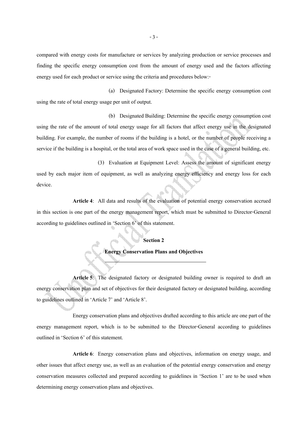compared with energy costs for manufacture or services by analyzing production or service processes and finding the specific energy consumption cost from the amount of energy used and the factors affecting energy used for each product or service using the criteria and procedures below:-

(a) Designated Factory: Determine the specific energy consumption cost using the rate of total energy usage per unit of output.

(b) Designated Building: Determine the specific energy consumption cost using the rate of the amount of total energy usage for all factors that affect energy use in the designated building. For example, the number of rooms if the building is a hotel, or the number of people receiving a service if the building is a hospital, or the total area of work space used in the case of a general building, etc.

(3) Evaluation at Equipment Level: Assess the amount of significant energy used by each major item of equipment, as well as analyzing energy efficiency and energy loss for each device.

**Article 4**: All data and results of the evaluation of potential energy conservation accrued in this section is one part of the energy management report, which must be submitted to Director-General according to guidelines outlined in 'Section 6' of this statement.

#### **Section 2**

#### **Energy Conservation Plans and Objectives**

**Article 5**: The designated factory or designated building owner is required to draft an energy conservation plan and set of objectives for their designated factory or designated building, according to guidelines outlined in 'Article 7' and 'Article 8'.

Energy conservation plans and objectives drafted according to this article are one part of the energy management report, which is to be submitted to the Director-General according to guidelines outlined in 'Section 6' of this statement.

**Article 6**: Energy conservation plans and objectives, information on energy usage, and other issues that affect energy use, as well as an evaluation of the potential energy conservation and energy conservation measures collected and prepared according to guidelines in 'Section 1' are to be used when determining energy conservation plans and objectives.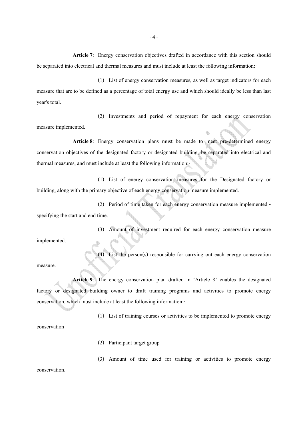**Article 7**: Energy conservation objectives drafted in accordance with this section should be separated into electrical and thermal measures and must include at least the following information:-

(1) List of energy conservation measures, as well as target indicators for each measure that are to be defined as a percentage of total energy use and which should ideally be less than last year's total.

(2) Investments and period of repayment for each energy conservation measure implemented.

**Article 8**: Energy conservation plans must be made to meet pre-determined energy conservation objectives of the designated factory or designated building, be separated into electrical and thermal measures, and must include at least the following information:-

(1) List of energy conservation measures for the Designated factory or building, along with the primary objective of each energy conservation measure implemented.

(2) Period of time taken for each energy conservation measure implemented specifying the start and end time.

Amount of investment required for each energy conservation measure

implemented.

(4) List the person(s) responsible for carrying out each energy conservation measure.

**Article 9**: The energy conservation plan drafted in 'Article 8' enables the designated factory or designated building owner to draft training programs and activities to promote energy conservation, which must include at least the following information:-

(1) List of training courses or activities to be implemented to promote energy

conservation

(2) Participant target group

(3) Amount of time used for training or activities to promote energy

conservation.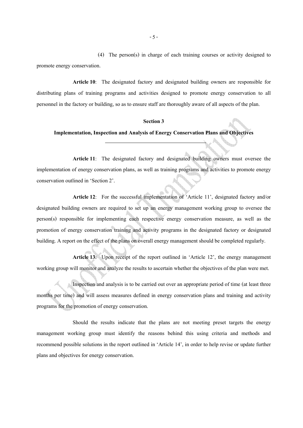(4) The person(s) in charge of each training courses or activity designed to promote energy conservation.

**Article 10**: The designated factory and designated building owners are responsible for distributing plans of training programs and activities designed to promote energy conservation to all personnel in the factory or building, so as to ensure staff are thoroughly aware of all aspects of the plan.

#### **Section 3**

#### **Implementation, Inspection and Analysis of Energy Conservation Plans and Objectives**

**Article 11**: The designated factory and designated building owners must oversee the implementation of energy conservation plans, as well as training programs and activities to promote energy conservation outlined in 'Section 2'.

**Article 12**: For the successful implementation of 'Article 11', designated factory and/or designated building owners are required to set up an energy management working group to oversee the person(s) responsible for implementing each respective energy conservation measure, as well as the promotion of energy conservation training and activity programs in the designated factory or designated building. A report on the effect of the plans on overall energy management should be completed regularly.

**Article 13**: Upon receipt of the report outlined in 'Article 12', the energy management working group will monitor and analyze the results to ascertain whether the objectives of the plan were met.

Inspection and analysis is to be carried out over an appropriate period of time (at least three months per time) and will assess measures defined in energy conservation plans and training and activity programs for the promotion of energy conservation.

Should the results indicate that the plans are not meeting preset targets the energy management working group must identify the reasons behind this using criteria and methods and recommend possible solutions in the report outlined in 'Article 14', in order to help revise or update further plans and objectives for energy conservation.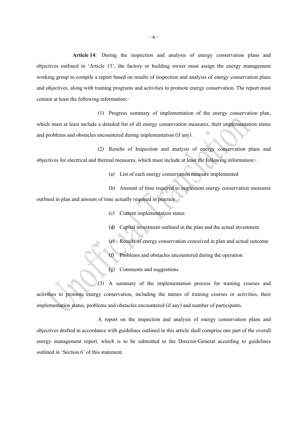**Article 14**: During the inspection and analysis of energy conservation plans and objectives outlined in 'Article 13', the factory or building owner must assign the energy management working group to compile a report based on results of inspection and analysis of energy conservation plans and objectives, along with training programs and activities to promote energy conservation. The report must contain at least the following information:-

(1) Progress summary of implementation of the energy conservation plan, which must at least include a detailed list of all energy conservation measures, their implementation status and problems and obstacles encountered during implementation (if any).

(2) Results of Inspection and analysis of energy conservation plans and objectives for electrical and thermal measures, which must include at least the following information:-

(a) List of each energy conservation measure implemented

(b) Amount of time required to implement energy conservation measures outlined in plan and amount of time actually required in practice

- (c) Current implementation status
- (d) Capital investment outlined in the plan and the actual investment
- (e) Results of energy conservation conceived in plan and actual outcome
- (f) Problems and obstacles encountered during the operation
- (g) Comments and suggestions

(3) A summary of the implementation process for training courses and activities to promote energy conservation, including the names of training courses or activities, their implementation status, problems and obstacles encountered (if any) and number of participants.

A report on the inspection and analysis of energy conservation plans and objectives drafted in accordance with guidelines outlined in this article shall comprise one part of the overall energy management report, which is to be submitted to the Director-General according to guidelines outlined in 'Section 6' of this statement.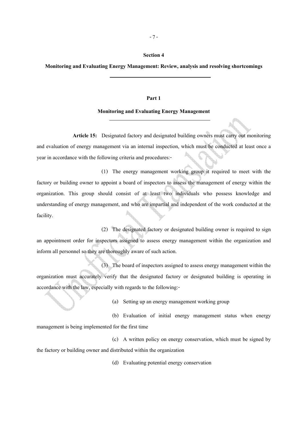#### **Section 4**

#### **Monitoring and Evaluating Energy Management: Review, analysis and resolving shortcomings**

#### **Part 1**

#### **Monitoring and Evaluating Energy Management**

**Article 15:** Designated factory and designated building owners must carry out monitoring and evaluation of energy management via an internal inspection, which must be conducted at least once a year in accordance with the following criteria and procedures:-

(1) The energy management working group it required to meet with the factory or building owner to appoint a board of inspectors to assess the management of energy within the organization. This group should consist of at least two individuals who possess knowledge and understanding of energy management, and who are impartial and independent of the work conducted at the facility.

(2) The designated factory or designated building owner is required to sign an appointment order for inspectors assigned to assess energy management within the organization and inform all personnel so they are thoroughly aware of such action.

(3) The board of inspectors assigned to assess energy management within the organization must accurately verify that the designated factory or designated building is operating in accordance with the law, especially with regards to the following:-

(a) Setting up an energy management working group

(b) Evaluation of initial energy management status when energy management is being implemented for the first time

(c) A written policy on energy conservation, which must be signed by the factory or building owner and distributed within the organization

(d) Evaluating potential energy conservation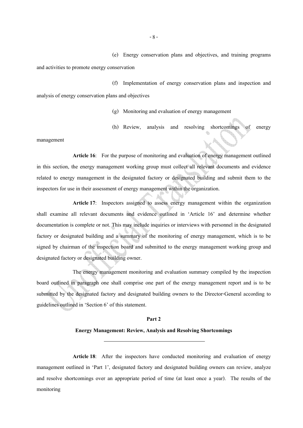(e) Energy conservation plans and objectives, and training programs

and activities to promote energy conservation

(f) Implementation of energy conservation plans and inspection and analysis of energy conservation plans and objectives

- (g) Monitoring and evaluation of energy management
- (h) Review, analysis and resolving shortcomings of energy

management

**Article 16**: For the purpose of monitoring and evaluation of energy management outlined in this section, the energy management working group must collect all relevant documents and evidence related to energy management in the designated factory or designated building and submit them to the inspectors for use in their assessment of energy management within the organization.

**Article 17**: Inspectors assigned to assess energy management within the organization shall examine all relevant documents and evidence outlined in 'Article 16' and determine whether documentation is complete or not. This may include inquiries or interviews with personnel in the designated factory or designated building and a summary of the monitoring of energy management, which is to be signed by chairman of the inspection board and submitted to the energy management working group and designated factory or designated building owner.

The energy management monitoring and evaluation summary compiled by the inspection board outlined in paragraph one shall comprise one part of the energy management report and is to be submitted by the designated factory and designated building owners to the Director-General according to guidelines outlined in 'Section 6' of this statement.

#### **Part 2**

#### **Energy Management: Review, Analysis and Resolving Shortcomings**

**Article 18**: After the inspectors have conducted monitoring and evaluation of energy management outlined in 'Part 1', designated factory and designated building owners can review, analyze and resolve shortcomings over an appropriate period of time (at least once a year). The results of the monitoring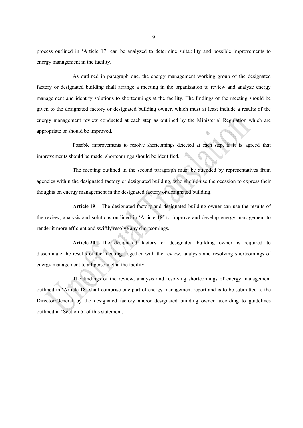process outlined in 'Article 17' can be analyzed to determine suitability and possible improvements to energy management in the facility.

As outlined in paragraph one, the energy management working group of the designated factory or designated building shall arrange a meeting in the organization to review and analyze energy management and identify solutions to shortcomings at the facility. The findings of the meeting should be given to the designated factory or designated building owner, which must at least include a results of the energy management review conducted at each step as outlined by the Ministerial Regulation which are appropriate or should be improved.

 Possible improvements to resolve shortcomings detected at each step, if it is agreed that improvements should be made, shortcomings should be identified.

The meeting outlined in the second paragraph must be attended by representatives from agencies within the designated factory or designated building, who should use the occasion to express their thoughts on energy management in the designated factory or designated building.

**Article 19**: The designated factory and designated building owner can use the results of the review, analysis and solutions outlined in 'Article 18' to improve and develop energy management to render it more efficient and swiftly resolve any shortcomings.

**Article 20:** The designated factory or designated building owner is required to disseminate the results of the meeting, together with the review, analysis and resolving shortcomings of energy management to all personnel at the facility.

The findings of the review, analysis and resolving shortcomings of energy management outlined in 'Article 18' shall comprise one part of energy management report and is to be submitted to the Director-General by the designated factory and/or designated building owner according to guidelines outlined in 'Section 6' of this statement.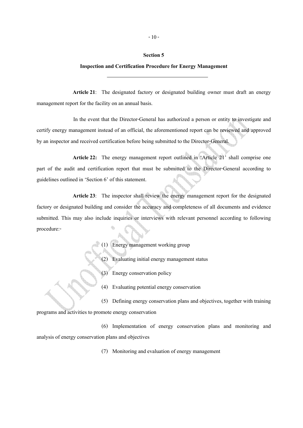#### **Section 5**

#### **Inspection and Certification Procedure for Energy Management**

**Article 21**: The designated factory or designated building owner must draft an energy management report for the facility on an annual basis.

In the event that the Director-General has authorized a person or entity to investigate and certify energy management instead of an official, the aforementioned report can be reviewed and approved by an inspector and received certification before being submitted to the Director-General.

**Article 22:** The energy management report outlined in 'Article 21' shall comprise one part of the audit and certification report that must be submitted to the Director-General according to guidelines outlined in 'Section 6' of this statement.

**Article 23**: The inspector shall review the energy management report for the designated factory or designated building and consider the accuracy and completeness of all documents and evidence submitted. This may also include inquiries or interviews with relevant personnel according to following procedure:-

(1) Energy management working group

(2) Evaluating initial energy management status

(3) Energy conservation policy

(4) Evaluating potential energy conservation

(5) Defining energy conservation plans and objectives, together with training programs and activities to promote energy conservation

(6) Implementation of energy conservation plans and monitoring and analysis of energy conservation plans and objectives

(7) Monitoring and evaluation of energy management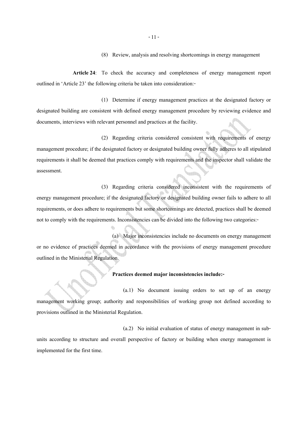#### (8) Review, analysis and resolving shortcomings in energy management

**Article 24**: To check the accuracy and completeness of energy management report outlined in 'Article 23' the following criteria be taken into consideration:-

(1) Determine if energy management practices at the designated factory or designated building are consistent with defined energy management procedure by reviewing evidence and documents, interviews with relevant personnel and practices at the facility.

(2) Regarding criteria considered consistent with requirements of energy management procedure; if the designated factory or designated building owner fully adheres to all stipulated requirements it shall be deemed that practices comply with requirements and the inspector shall validate the assessment.

(3) Regarding criteria considered inconsistent with the requirements of energy management procedure; if the designated factory or designated building owner fails to adhere to all requirements, or does adhere to requirements but some shortcomings are detected, practices shall be deemed not to comply with the requirements. Inconsistencies can be divided into the following two categories:-

(a) Major inconsistencies include no documents on energy management or no evidence of practices deemed in accordance with the provisions of energy management procedure outlined in the Ministerial Regulation.

#### **Practices deemed major inconsistencies include:-**

(a.1) No document issuing orders to set up of an energy management working group; authority and responsibilities of working group not defined according to provisions outlined in the Ministerial Regulation.

(a.2) No initial evaluation of status of energy management in subunits according to structure and overall perspective of factory or building when energy management is implemented for the first time.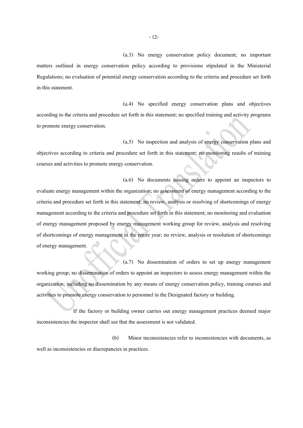(a.3) No energy conservation policy document; no important matters outlined in energy conservation policy according to provisions stipulated in the Ministerial Regulations; no evaluation of potential energy conservation according to the criteria and procedure set forth in this statement.

(a.4) No specified energy conservation plans and objectives according to the criteria and procedure set forth in this statement; no specified training and activity programs to promote energy conservation.

(a.5) No inspection and analysis of energy conservation plans and objectives according to criteria and procedure set forth in this statement; no monitoring results of training courses and activities to promote energy conservation.

(a.6) No documents issuing orders to appoint an inspectors to evaluate energy management within the organization; no assessment of energy management according to the criteria and procedure set forth in this statement; no review, analysis or resolving of shortcomings of energy management according to the criteria and procedure set forth in this statement; no monitoring and evaluation of energy management proposed by energy management working group for review, analysis and resolving of shortcomings of energy management in the entire year; no review, analysis or resolution of shortcomings of energy management.

(a.7) No dissemination of orders to set up energy management working group; no dissemination of orders to appoint an inspectors to assess energy management within the organization; including no dissemination by any means of energy conservation policy, training courses and activities to promote energy conservation to personnel in the Designated factory or building.

 If the factory or building owner carries out energy management practices deemed major inconsistencies the inspector shall see that the assessment is not validated.

(b) Minor inconsistencies refer to inconsistencies with documents, as well as inconsistencies or discrepancies in practices.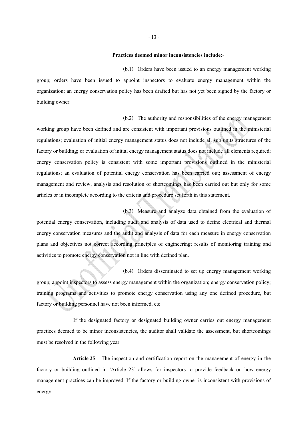#### **Practices deemed minor inconsistencies include:-**

(b.1) Orders have been issued to an energy management working group; orders have been issued to appoint inspectors to evaluate energy management within the organization; an energy conservation policy has been drafted but has not yet been signed by the factory or building owner.

(b.2) The authority and responsibilities of the energy management

working group have been defined and are consistent with important provisions outlined in the ministerial regulations; evaluation of initial energy management status does not include all sub-units structures of the factory or building; or evaluation of initial energy management status does not include all elements required; energy conservation policy is consistent with some important provisions outlined in the ministerial regulations; an evaluation of potential energy conservation has been carried out; assessment of energy management and review, analysis and resolution of shortcomings has been carried out but only for some articles or in incomplete according to the criteria and procedure set forth in this statement.

(b.3) Measure and analyze data obtained from the evaluation of potential energy conservation, including audit and analysis of data used to define electrical and thermal energy conservation measures and the audit and analysis of data for each measure in energy conservation plans and objectives not correct according principles of engineering; results of monitoring training and activities to promote energy conservation not in line with defined plan.

(b.4) Orders disseminated to set up energy management working group; appoint inspectors to assess energy management within the organization; energy conservation policy; training programs and activities to promote energy conservation using any one defined procedure, but factory or building personnel have not been informed, etc.

 If the designated factory or designated building owner carries out energy management practices deemed to be minor inconsistencies, the auditor shall validate the assessment, but shortcomings must be resolved in the following year.

**Article 25**: The inspection and certification report on the management of energy in the factory or building outlined in 'Article 23' allows for inspectors to provide feedback on how energy management practices can be improved. If the factory or building owner is inconsistent with provisions of energy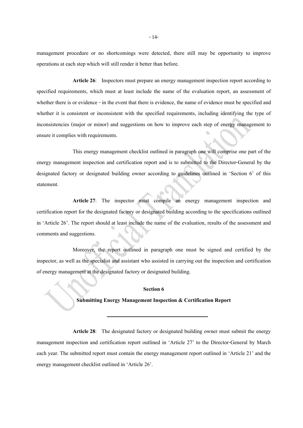management procedure or no shortcomings were detected, there still may be opportunity to improve operations at each step which will still render it better than before.

**Article 26**: Inspectors must prepare an energy management inspection report according to specified requirements, which must at least include the name of the evaluation report, an assessment of whether there is or evidence - in the event that there is evidence, the name of evidence must be specified and whether it is consistent or inconsistent with the specified requirements, including identifying the type of inconsistencies (major or minor) and suggestions on how to improve each step of energy management to ensure it complies with requirements.

This energy management checklist outlined in paragraph one will comprise one part of the energy management inspection and certification report and is to submitted to the Director-General by the designated factory or designated building owner according to guidelines outlined in 'Section 6' of this statement.

**Article 27**: The inspector must compile an energy management inspection and certification report for the designated factory or designated building according to the specifications outlined in 'Article 26'. The report should at least include the name of the evaluation, results of the assessment and comments and suggestions.

Moreover, the report outlined in paragraph one must be signed and certified by the inspector, as well as the specialist and assistant who assisted in carrying out the inspection and certification of energy management at the designated factory or designated building.

#### **Section 6**

#### **Submitting Energy Management Inspection & Certification Report**

**Article 28**: The designated factory or designated building owner must submit the energy management inspection and certification report outlined in 'Article 27' to the Director-General by March each year. The submitted report must contain the energy management report outlined in 'Article 21' and the energy management checklist outlined in 'Article 26'.